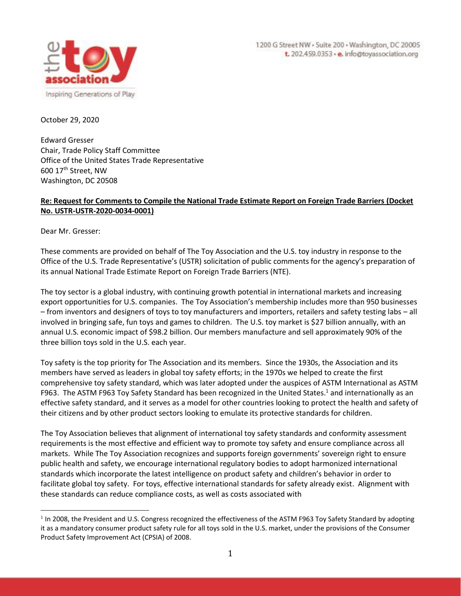

October 29, 2020

Edward Gresser Chair, Trade Policy Staff Committee Office of the United States Trade Representative 600 17th Street, NW Washington, DC 20508

# **Re: Request for Comments to Compile the National Trade Estimate Report on Foreign Trade Barriers (Docket No. USTR-USTR-2020-0034-0001)**

Dear Mr. Gresser:

These comments are provided on behalf of The Toy Association and the U.S. toy industry in response to the Office of the U.S. Trade Representative's (USTR) solicitation of public comments for the agency's preparation of its annual National Trade Estimate Report on Foreign Trade Barriers (NTE).

The toy sector is a global industry, with continuing growth potential in international markets and increasing export opportunities for U.S. companies. The Toy Association's membership includes more than 950 businesses – from inventors and designers of toys to toy manufacturers and importers, retailers and safety testing labs – all involved in bringing safe, fun toys and games to children. The U.S. toy market is \$27 billion annually, with an annual U.S. economic impact of \$98.2 billion. Our members manufacture and sell approximately 90% of the three billion toys sold in the U.S. each year.

Toy safety is the top priority for The Association and its members. Since the 1930s, the Association and its members have served as leaders in global toy safety efforts; in the 1970s we helped to create the first comprehensive toy safety standard, which was later adopted under the auspices of ASTM International as ASTM F963. The ASTM F963 Toy Safety Standard has been recognized in the United States.<sup>1</sup> and internationally as an effective safety standard, and it serves as a model for other countries looking to protect the health and safety of their citizens and by other product sectors looking to emulate its protective standards for children.

The Toy Association believes that alignment of international toy safety standards and conformity assessment requirements is the most effective and efficient way to promote toy safety and ensure compliance across all markets. While The Toy Association recognizes and supports foreign governments' sovereign right to ensure public health and safety, we encourage international regulatory bodies to adopt harmonized international standards which incorporate the latest intelligence on product safety and children's behavior in order to facilitate global toy safety. For toys, effective international standards for safety already exist. Alignment with these standards can reduce compliance costs, as well as costs associated with

 $1$  In 2008, the President and U.S. Congress recognized the effectiveness of the ASTM F963 Toy Safety Standard by adopting it as a mandatory consumer product safety rule for all toys sold in the U.S. market, under the provisions of the Consumer Product Safety Improvement Act (CPSIA) of 2008.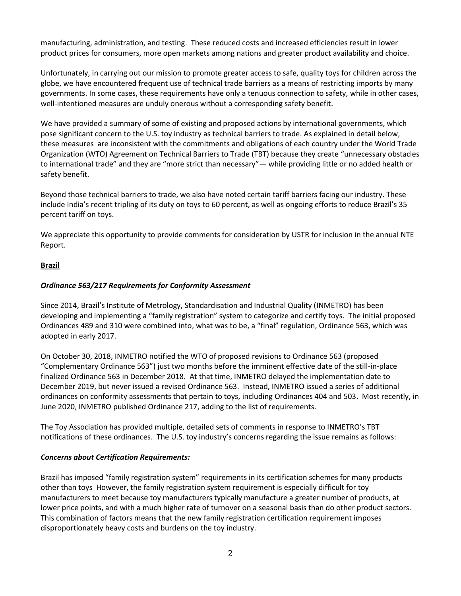manufacturing, administration, and testing. These reduced costs and increased efficiencies result in lower product prices for consumers, more open markets among nations and greater product availability and choice.

Unfortunately, in carrying out our mission to promote greater access to safe, quality toys for children across the globe, we have encountered frequent use of technical trade barriers as a means of restricting imports by many governments. In some cases, these requirements have only a tenuous connection to safety, while in other cases, well-intentioned measures are unduly onerous without a corresponding safety benefit.

We have provided a summary of some of existing and proposed actions by international governments, which pose significant concern to the U.S. toy industry as technical barriers to trade. As explained in detail below, these measures are inconsistent with the commitments and obligations of each country under the World Trade Organization (WTO) Agreement on Technical Barriers to Trade (TBT) because they create "unnecessary obstacles to international trade" and they are "more strict than necessary"— while providing little or no added health or safety benefit.

Beyond those technical barriers to trade, we also have noted certain tariff barriers facing our industry. These include India's recent tripling of its duty on toys to 60 percent, as well as ongoing efforts to reduce Brazil's 35 percent tariff on toys.

We appreciate this opportunity to provide comments for consideration by USTR for inclusion in the annual NTE Report.

## **Brazil**

## *Ordinance 563/217 Requirements for Conformity Assessment*

Since 2014, Brazil's Institute of Metrology, Standardisation and Industrial Quality (INMETRO) has been developing and implementing a "family registration" system to categorize and certify toys. The initial proposed Ordinances 489 and 310 were combined into, what was to be, a "final" regulation, Ordinance 563, which was adopted in early 2017.

On October 30, 2018, INMETRO notified the WTO of proposed revisions to Ordinance 563 (proposed "Complementary Ordinance 563") just two months before the imminent effective date of the still-in-place finalized Ordinance 563 in December 2018. At that time, INMETRO delayed the implementation date to December 2019, but never issued a revised Ordinance 563. Instead, INMETRO issued a series of additional ordinances on conformity assessments that pertain to toys, including Ordinances 404 and 503. Most recently, in June 2020, INMETRO published Ordinance 217, adding to the list of requirements.

The Toy Association has provided multiple, detailed sets of comments in response to INMETRO's TBT notifications of these ordinances. The U.S. toy industry's concerns regarding the issue remains as follows:

### *Concerns about Certification Requirements:*

Brazil has imposed "family registration system" requirements in its certification schemes for many products other than toys However, the family registration system requirement is especially difficult for toy manufacturers to meet because toy manufacturers typically manufacture a greater number of products, at lower price points, and with a much higher rate of turnover on a seasonal basis than do other product sectors. This combination of factors means that the new family registration certification requirement imposes disproportionately heavy costs and burdens on the toy industry.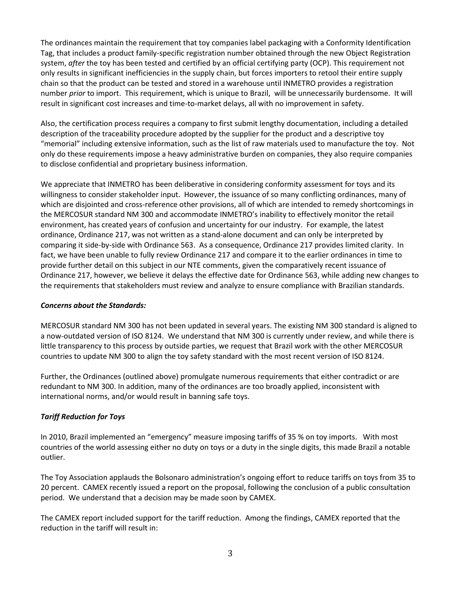The ordinances maintain the requirement that toy companies label packaging with a Conformity Identification Tag, that includes a product family-specific registration number obtained through the new Object Registration system, *after* the toy has been tested and certified by an official certifying party (OCP). This requirement not only results in significant inefficiencies in the supply chain, but forces importers to retool their entire supply chain so that the product can be tested and stored in a warehouse until INMETRO provides a registration number *prior* to import. This requirement, which is unique to Brazil, will be unnecessarily burdensome. It will result in significant cost increases and time-to-market delays, all with no improvement in safety.

Also, the certification process requires a company to first submit lengthy documentation, including a detailed description of the traceability procedure adopted by the supplier for the product and a descriptive toy "memorial" including extensive information, such as the list of raw materials used to manufacture the toy. Not only do these requirements impose a heavy administrative burden on companies, they also require companies to disclose confidential and proprietary business information.

We appreciate that INMETRO has been deliberative in considering conformity assessment for toys and its willingness to consider stakeholder input. However, the issuance of so many conflicting ordinances, many of which are disjointed and cross-reference other provisions, all of which are intended to remedy shortcomings in the MERCOSUR standard NM 300 and accommodate INMETRO's inability to effectively monitor the retail environment, has created years of confusion and uncertainty for our industry. For example, the latest ordinance, Ordinance 217, was not written as a stand-alone document and can only be interpreted by comparing it side-by-side with Ordinance 563. As a consequence, Ordinance 217 provides limited clarity. In fact, we have been unable to fully review Ordinance 217 and compare it to the earlier ordinances in time to provide further detail on this subject in our NTE comments, given the comparatively recent issuance of Ordinance 217, however, we believe it delays the effective date for Ordinance 563, while adding new changes to the requirements that stakeholders must review and analyze to ensure compliance with Brazilian standards.

### *Concerns about the Standards:*

MERCOSUR standard NM 300 has not been updated in several years. The existing NM 300 standard is aligned to a now-outdated version of ISO 8124. We understand that NM 300 is currently under review, and while there is little transparency to this process by outside parties, we request that Brazil work with the other MERCOSUR countries to update NM 300 to align the toy safety standard with the most recent version of ISO 8124.

Further, the Ordinances (outlined above) promulgate numerous requirements that either contradict or are redundant to NM 300. In addition, many of the ordinances are too broadly applied, inconsistent with international norms, and/or would result in banning safe toys.

### *Tariff Reduction for Toys*

In 2010, Brazil implemented an "emergency" measure imposing tariffs of 35 % on toy imports. With most countries of the world assessing either no duty on toys or a duty in the single digits, this made Brazil a notable outlier.

The Toy Association applauds the Bolsonaro administration's ongoing effort to reduce tariffs on toys from 35 to 20 percent. CAMEX recently issued a report on the proposal, following the conclusion of a public consultation period. We understand that a decision may be made soon by CAMEX.

The CAMEX report included support for the tariff reduction. Among the findings, CAMEX reported that the reduction in the tariff will result in: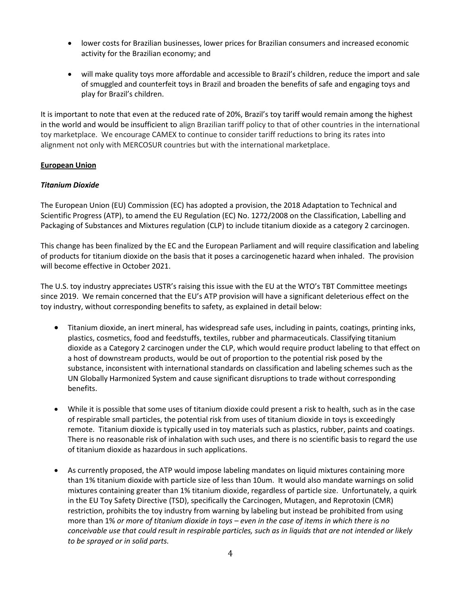- lower costs for Brazilian businesses, lower prices for Brazilian consumers and increased economic activity for the Brazilian economy; and
- will make quality toys more affordable and accessible to Brazil's children, reduce the import and sale of smuggled and counterfeit toys in Brazil and broaden the benefits of safe and engaging toys and play for Brazil's children.

It is important to note that even at the reduced rate of 20%, Brazil's toy tariff would remain among the highest in the world and would be insufficient to align Brazilian tariff policy to that of other countries in the international toy marketplace. We encourage CAMEX to continue to consider tariff reductions to bring its rates into alignment not only with MERCOSUR countries but with the international marketplace.

# **European Union**

## *Titanium Dioxide*

The European Union (EU) Commission (EC) has adopted a provision, the 2018 Adaptation to Technical and Scientific Progress (ATP), to amend the EU Regulation (EC) No. 1272/2008 on the Classification, Labelling and Packaging of Substances and Mixtures regulation (CLP) to include titanium dioxide as a category 2 carcinogen.

This change has been finalized by the EC and the European Parliament and will require classification and labeling of products for titanium dioxide on the basis that it poses a carcinogenetic hazard when inhaled. The provision will become effective in October 2021.

The U.S. toy industry appreciates USTR's raising this issue with the EU at the WTO's TBT Committee meetings since 2019. We remain concerned that the EU's ATP provision will have a significant deleterious effect on the toy industry, without corresponding benefits to safety, as explained in detail below:

- Titanium dioxide, an inert mineral, has widespread safe uses, including in paints, coatings, printing inks, plastics, cosmetics, food and feedstuffs, textiles, rubber and pharmaceuticals. Classifying titanium dioxide as a Category 2 carcinogen under the CLP, which would require product labeling to that effect on a host of downstream products, would be out of proportion to the potential risk posed by the substance, inconsistent with international standards on classification and labeling schemes such as the UN Globally Harmonized System and cause significant disruptions to trade without corresponding benefits.
- While it is possible that some uses of titanium dioxide could present a risk to health, such as in the case of respirable small particles, the potential risk from uses of titanium dioxide in toys is exceedingly remote. Titanium dioxide is typically used in toy materials such as plastics, rubber, paints and coatings. There is no reasonable risk of inhalation with such uses, and there is no scientific basis to regard the use of titanium dioxide as hazardous in such applications.
- As currently proposed, the ATP would impose labeling mandates on liquid mixtures containing more than 1% titanium dioxide with particle size of less than 10um. It would also mandate warnings on solid mixtures containing greater than 1% titanium dioxide, regardless of particle size. Unfortunately, a quirk in the EU Toy Safety Directive (TSD), specifically the Carcinogen, Mutagen, and Reprotoxin (CMR) restriction, prohibits the toy industry from warning by labeling but instead be prohibited from using more than 1% *or more of titanium dioxide in toys – even in the case of items in which there is no conceivable use that could result in respirable particles, such as in liquids that are not intended or likely to be sprayed or in solid parts.*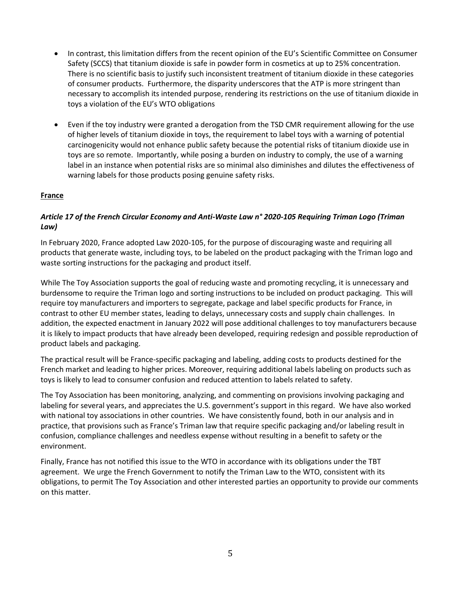- In contrast, this limitation differs from the recent opinion of the EU's Scientific Committee on Consumer Safety (SCCS) that titanium dioxide is safe in powder form in cosmetics at up to 25% concentration. There is no scientific basis to justify such inconsistent treatment of titanium dioxide in these categories of consumer products. Furthermore, the disparity underscores that the ATP is more stringent than necessary to accomplish its intended purpose, rendering its restrictions on the use of titanium dioxide in toys a violation of the EU's WTO obligations
- Even if the toy industry were granted a derogation from the TSD CMR requirement allowing for the use of higher levels of titanium dioxide in toys, the requirement to label toys with a warning of potential carcinogenicity would not enhance public safety because the potential risks of titanium dioxide use in toys are so remote. Importantly, while posing a burden on industry to comply, the use of a warning label in an instance when potential risks are so minimal also diminishes and dilutes the effectiveness of warning labels for those products posing genuine safety risks.

### **France**

# *Article 17 of the French Circular Economy and Anti-Waste Law n° 2020-105 Requiring Triman Logo (Triman Law)*

In February 2020, France adopted Law 2020-105, for the purpose of discouraging waste and requiring all products that generate waste, including toys, to be labeled on the product packaging with the Triman logo and waste sorting instructions for the packaging and product itself.

While The Toy Association supports the goal of reducing waste and promoting recycling, it is unnecessary and burdensome to require the Triman logo and sorting instructions to be included on product packaging. This will require toy manufacturers and importers to segregate, package and label specific products for France, in contrast to other EU member states, leading to delays, unnecessary costs and supply chain challenges. In addition, the expected enactment in January 2022 will pose additional challenges to toy manufacturers because it is likely to impact products that have already been developed, requiring redesign and possible reproduction of product labels and packaging.

The practical result will be France-specific packaging and labeling, adding costs to products destined for the French market and leading to higher prices. Moreover, requiring additional labels labeling on products such as toys is likely to lead to consumer confusion and reduced attention to labels related to safety.

The Toy Association has been monitoring, analyzing, and commenting on provisions involving packaging and labeling for several years, and appreciates the U.S. government's support in this regard. We have also worked with national toy associations in other countries. We have consistently found, both in our analysis and in practice, that provisions such as France's Triman law that require specific packaging and/or labeling result in confusion, compliance challenges and needless expense without resulting in a benefit to safety or the environment.

Finally, France has not notified this issue to the WTO in accordance with its obligations under the TBT agreement. We urge the French Government to notify the Triman Law to the WTO, consistent with its obligations, to permit The Toy Association and other interested parties an opportunity to provide our comments on this matter.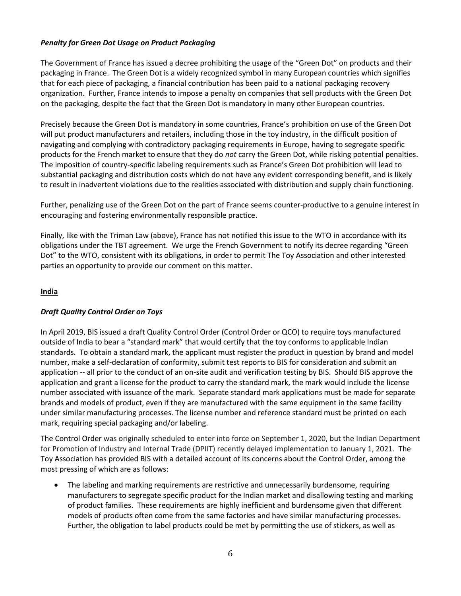## *Penalty for Green Dot Usage on Product Packaging*

The Government of France has issued a decree prohibiting the usage of the "Green Dot" on products and their packaging in France. The Green Dot is a widely recognized symbol in many European countries which signifies that for each piece of packaging, a financial contribution has been paid to a national packaging recovery organization. Further, France intends to impose a penalty on companies that sell products with the Green Dot on the packaging, despite the fact that the Green Dot is mandatory in many other European countries.

Precisely because the Green Dot is mandatory in some countries, France's prohibition on use of the Green Dot will put product manufacturers and retailers, including those in the toy industry, in the difficult position of navigating and complying with contradictory packaging requirements in Europe, having to segregate specific products for the French market to ensure that they do *not* carry the Green Dot, while risking potential penalties. The imposition of country-specific labeling requirements such as France's Green Dot prohibition will lead to substantial packaging and distribution costs which do not have any evident corresponding benefit, and is likely to result in inadvertent violations due to the realities associated with distribution and supply chain functioning.

Further, penalizing use of the Green Dot on the part of France seems counter-productive to a genuine interest in encouraging and fostering environmentally responsible practice.

Finally, like with the Triman Law (above), France has not notified this issue to the WTO in accordance with its obligations under the TBT agreement. We urge the French Government to notify its decree regarding "Green Dot" to the WTO, consistent with its obligations, in order to permit The Toy Association and other interested parties an opportunity to provide our comment on this matter.

## **India**

# *Draft Quality Control Order on Toys*

In April 2019, BIS issued a draft Quality Control Order (Control Order or QCO) to require toys manufactured outside of India to bear a "standard mark" that would certify that the toy conforms to applicable Indian standards. To obtain a standard mark, the applicant must register the product in question by brand and model number, make a self-declaration of conformity, submit test reports to BIS for consideration and submit an application -- all prior to the conduct of an on-site audit and verification testing by BIS. Should BIS approve the application and grant a license for the product to carry the standard mark, the mark would include the license number associated with issuance of the mark. Separate standard mark applications must be made for separate brands and models of product, even if they are manufactured with the same equipment in the same facility under similar manufacturing processes. The license number and reference standard must be printed on each mark, requiring special packaging and/or labeling.

The Control Order was originally scheduled to enter into force on September 1, 2020, but the Indian Department for Promotion of Industry and Internal Trade (DPIIT) recently delayed implementation to January 1, 2021. The Toy Association has provided BIS with a detailed account of its concerns about the Control Order, among the most pressing of which are as follows:

• The labeling and marking requirements are restrictive and unnecessarily burdensome, requiring manufacturers to segregate specific product for the Indian market and disallowing testing and marking of product families. These requirements are highly inefficient and burdensome given that different models of products often come from the same factories and have similar manufacturing processes. Further, the obligation to label products could be met by permitting the use of stickers, as well as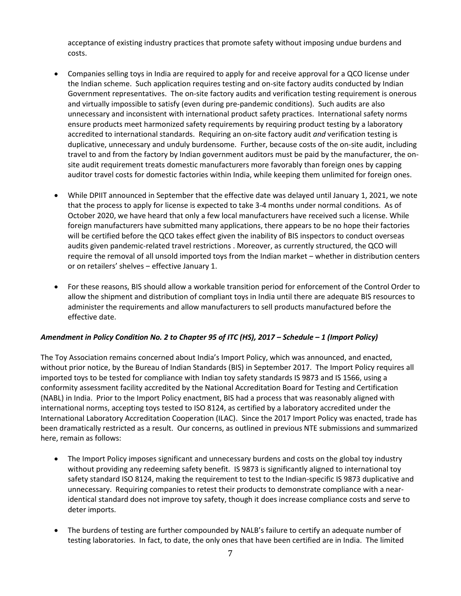acceptance of existing industry practices that promote safety without imposing undue burdens and costs.

- Companies selling toys in India are required to apply for and receive approval for a QCO license under the Indian scheme. Such application requires testing and on-site factory audits conducted by Indian Government representatives. The on-site factory audits and verification testing requirement is onerous and virtually impossible to satisfy (even during pre-pandemic conditions). Such audits are also unnecessary and inconsistent with international product safety practices. International safety norms ensure products meet harmonized safety requirements by requiring product testing by a laboratory accredited to international standards. Requiring an on-site factory audit *and* verification testing is duplicative, unnecessary and unduly burdensome. Further, because costs of the on-site audit, including travel to and from the factory by Indian government auditors must be paid by the manufacturer, the onsite audit requirement treats domestic manufacturers more favorably than foreign ones by capping auditor travel costs for domestic factories within India, while keeping them unlimited for foreign ones.
- While DPIIT announced in September that the effective date was delayed until January 1, 2021, we note that the process to apply for license is expected to take 3-4 months under normal conditions. As of October 2020, we have heard that only a few local manufacturers have received such a license. While foreign manufacturers have submitted many applications, there appears to be no hope their factories will be certified before the QCO takes effect given the inability of BIS inspectors to conduct overseas audits given pandemic-related travel restrictions . Moreover, as currently structured, the QCO will require the removal of all unsold imported toys from the Indian market - whether in distribution centers or on retailers' shelves - effective January 1.
- For these reasons, BIS should allow a workable transition period for enforcement of the Control Order to allow the shipment and distribution of compliant toys in India until there are adequate BIS resources to administer the requirements and allow manufacturers to sell products manufactured before the effective date.

### *Amendment in Policy Condition No. 2 to Chapter 95 of ITC (HS), 2017 – Schedule – 1 (Import Policy)*

The Toy Association remains concerned about India's Import Policy, which was announced, and enacted, without prior notice, by the Bureau of Indian Standards (BIS) in September 2017. The Import Policy requires all imported toys to be tested for compliance with Indian toy safety standards IS 9873 and IS 1566, using a conformity assessment facility accredited by the National Accreditation Board for Testing and Certification (NABL) in India. Prior to the Import Policy enactment, BIS had a process that was reasonably aligned with international norms, accepting toys tested to ISO 8124, as certified by a laboratory accredited under the International Laboratory Accreditation Cooperation (ILAC). Since the 2017 Import Policy was enacted, trade has been dramatically restricted as a result. Our concerns, as outlined in previous NTE submissions and summarized here, remain as follows:

- The Import Policy imposes significant and unnecessary burdens and costs on the global toy industry without providing any redeeming safety benefit. IS 9873 is significantly aligned to international toy safety standard ISO 8124, making the requirement to test to the Indian-specific IS 9873 duplicative and unnecessary. Requiring companies to retest their products to demonstrate compliance with a nearidentical standard does not improve toy safety, though it does increase compliance costs and serve to deter imports.
- The burdens of testing are further compounded by NALB's failure to certify an adequate number of testing laboratories. In fact, to date, the only ones that have been certified are in India. The limited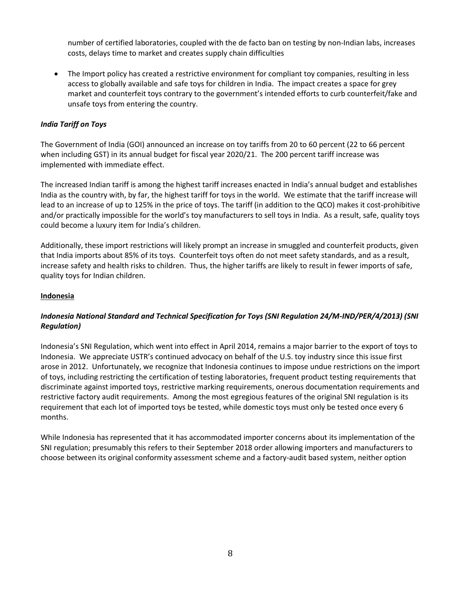number of certified laboratories, coupled with the de facto ban on testing by non-Indian labs, increases costs, delays time to market and creates supply chain difficulties

• The Import policy has created a restrictive environment for compliant toy companies, resulting in less access to globally available and safe toys for children in India. The impact creates a space for grey market and counterfeit toys contrary to the government's intended efforts to curb counterfeit/fake and unsafe toys from entering the country.

# *India Tariff on Toys*

The Government of India (GOI) announced an increase on toy tariffs from 20 to 60 percent (22 to 66 percent when including GST) in its annual budget for fiscal year 2020/21. The 200 percent tariff increase was implemented with immediate effect.

The increased Indian tariff is among the highest tariff increases enacted in India's annual budget and establishes India as the country with, by far, the highest tariff for toys in the world. We estimate that the tariff increase will lead to an increase of up to 125% in the price of toys. The tariff (in addition to the QCO) makes it cost-prohibitive and/or practically impossible for the world's toy manufacturers to sell toys in India. As a result, safe, quality toys could become a luxury item for India's children.

Additionally, these import restrictions will likely prompt an increase in smuggled and counterfeit products, given that India imports about 85% of its toys. Counterfeit toys often do not meet safety standards, and as a result, increase safety and health risks to children. Thus, the higher tariffs are likely to result in fewer imports of safe, quality toys for Indian children.

### **Indonesia**

# *Indonesia National Standard and Technical Specification for Toys (SNI Regulation 24/M-IND/PER/4/2013) (SNI Regulation)*

Indonesia's SNI Regulation, which went into effect in April 2014, remains a major barrier to the export of toys to Indonesia. We appreciate USTR's continued advocacy on behalf of the U.S. toy industry since this issue first arose in 2012. Unfortunately, we recognize that Indonesia continues to impose undue restrictions on the import of toys, including restricting the certification of testing laboratories, frequent product testing requirements that discriminate against imported toys, restrictive marking requirements, onerous documentation requirements and restrictive factory audit requirements. Among the most egregious features of the original SNI regulation is its requirement that each lot of imported toys be tested, while domestic toys must only be tested once every 6 months.

While Indonesia has represented that it has accommodated importer concerns about its implementation of the SNI regulation; presumably this refers to their September 2018 order allowing importers and manufacturers to choose between its original conformity assessment scheme and a factory-audit based system, neither option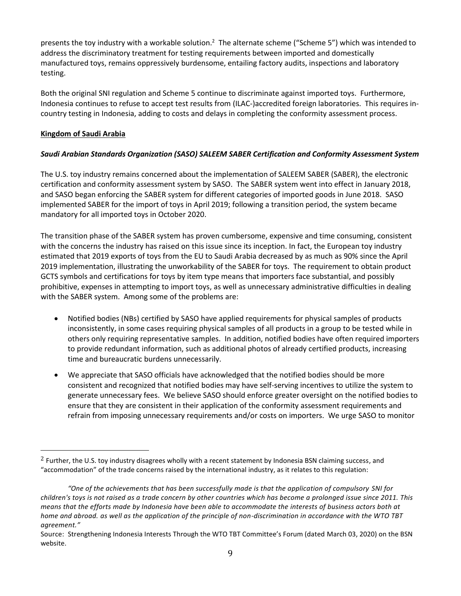presents the toy industry with a workable solution.<sup>2</sup> The alternate scheme ("Scheme 5") which was intended to address the discriminatory treatment for testing requirements between imported and domestically manufactured toys, remains oppressively burdensome, entailing factory audits, inspections and laboratory testing.

Both the original SNI regulation and Scheme 5 continue to discriminate against imported toys. Furthermore, Indonesia continues to refuse to accept test results from (ILAC-)accredited foreign laboratories. This requires incountry testing in Indonesia, adding to costs and delays in completing the conformity assessment process.

## **Kingdom of Saudi Arabia**

# *Saudi Arabian Standards Organization (SASO) SALEEM SABER Certification and Conformity Assessment System*

The U.S. toy industry remains concerned about the implementation of SALEEM SABER (SABER), the electronic certification and conformity assessment system by SASO. The SABER system went into effect in January 2018, and SASO began enforcing the SABER system for different categories of imported goods in June 2018. SASO implemented SABER for the import of toys in April 2019; following a transition period, the system became mandatory for all imported toys in October 2020.

The transition phase of the SABER system has proven cumbersome, expensive and time consuming, consistent with the concerns the industry has raised on this issue since its inception. In fact, the European toy industry estimated that 2019 exports of toys from the EU to Saudi Arabia decreased by as much as 90% since the April 2019 implementation, illustrating the unworkability of the SABER for toys. The requirement to obtain product GCTS symbols and certifications for toys by item type means that importers face substantial, and possibly prohibitive, expenses in attempting to import toys, as well as unnecessary administrative difficulties in dealing with the SABER system. Among some of the problems are:

- Notified bodies (NBs) certified by SASO have applied requirements for physical samples of products inconsistently, in some cases requiring physical samples of all products in a group to be tested while in others only requiring representative samples. In addition, notified bodies have often required importers to provide redundant information, such as additional photos of already certified products, increasing time and bureaucratic burdens unnecessarily.
- We appreciate that SASO officials have acknowledged that the notified bodies should be more consistent and recognized that notified bodies may have self-serving incentives to utilize the system to generate unnecessary fees. We believe SASO should enforce greater oversight on the notified bodies to ensure that they are consistent in their application of the conformity assessment requirements and refrain from imposing unnecessary requirements and/or costs on importers. We urge SASO to monitor

<sup>&</sup>lt;sup>2</sup> Further, the U.S. toy industry disagrees wholly with a recent statement by Indonesia BSN claiming success, and "accommodation" of the trade concerns raised by the international industry, as it relates to this regulation:

*<sup>&</sup>quot;One of the achievements that has been successfully made is that the application of compulsory SNI for children's toys is not raised as a trade concern by other countries which has become a prolonged issue since 2011. This means that the efforts made by Indonesia have been able to accommodate the interests of business actors both at home and abroad. as well as the application of the principle of non-discrimination in accordance with the WTO TBT agreement."*

Source: Strengthening Indonesia Interests Through the WTO TBT Committee's Forum (dated March 03, 2020) on the BSN website.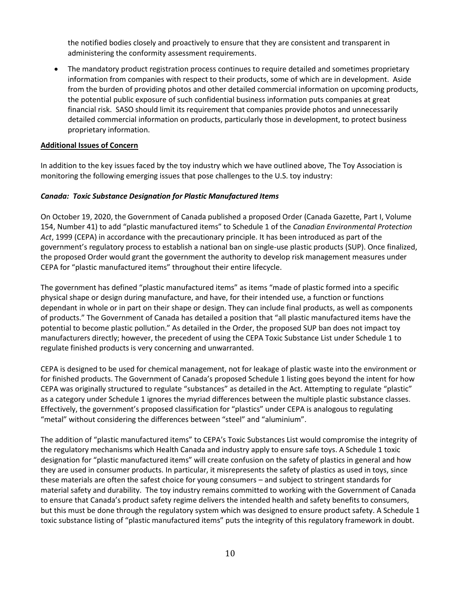the notified bodies closely and proactively to ensure that they are consistent and transparent in administering the conformity assessment requirements.

• The mandatory product registration process continues to require detailed and sometimes proprietary information from companies with respect to their products, some of which are in development. Aside from the burden of providing photos and other detailed commercial information on upcoming products, the potential public exposure of such confidential business information puts companies at great financial risk. SASO should limit its requirement that companies provide photos and unnecessarily detailed commercial information on products, particularly those in development, to protect business proprietary information.

#### **Additional Issues of Concern**

In addition to the key issues faced by the toy industry which we have outlined above, The Toy Association is monitoring the following emerging issues that pose challenges to the U.S. toy industry:

#### *Canada: Toxic Substance Designation for Plastic Manufactured Items*

On October 19, 2020, the Government of Canada published a proposed Order (Canada Gazette, Part I, Volume 154, Number 41) to add "plastic manufactured items" to Schedule 1 of the *Canadian Environmental Protection Act*, 1999 (CEPA) in accordance with the precautionary principle. It has been introduced as part of the government's regulatory process to establish a national ban on single-use plastic products (SUP). Once finalized, the proposed Order would grant the government the authority to develop risk management measures under CEPA for "plastic manufactured items" throughout their entire lifecycle.

The government has defined "plastic manufactured items" as items "made of plastic formed into a specific physical shape or design during manufacture, and have, for their intended use, a function or functions dependant in whole or in part on their shape or design. They can include final products, as well as components of products." The Government of Canada has detailed a position that "all plastic manufactured items have the potential to become plastic pollution." As detailed in the Order, the proposed SUP ban does not impact toy manufacturers directly; however, the precedent of using the CEPA Toxic Substance List under Schedule 1 to regulate finished products is very concerning and unwarranted.

CEPA is designed to be used for chemical management, not for leakage of plastic waste into the environment or for finished products. The Government of Canada's proposed Schedule 1 listing goes beyond the intent for how CEPA was originally structured to regulate "substances" as detailed in the Act. Attempting to regulate "plastic" as a category under Schedule 1 ignores the myriad differences between the multiple plastic substance classes. Effectively, the government's proposed classification for "plastics" under CEPA is analogous to regulating "metal" without considering the differences between "steel" and "aluminium".

The addition of "plastic manufactured items" to CEPA's Toxic Substances List would compromise the integrity of the regulatory mechanisms which Health Canada and industry apply to ensure safe toys. A Schedule 1 toxic designation for "plastic manufactured items" will create confusion on the safety of plastics in general and how they are used in consumer products. In particular, it misrepresents the safety of plastics as used in toys, since these materials are often the safest choice for young consumers – and subject to stringent standards for material safety and durability. The toy industry remains committed to working with the Government of Canada to ensure that Canada's product safety regime delivers the intended health and safety benefits to consumers, but this must be done through the regulatory system which was designed to ensure product safety. A Schedule 1 toxic substance listing of "plastic manufactured items" puts the integrity of this regulatory framework in doubt.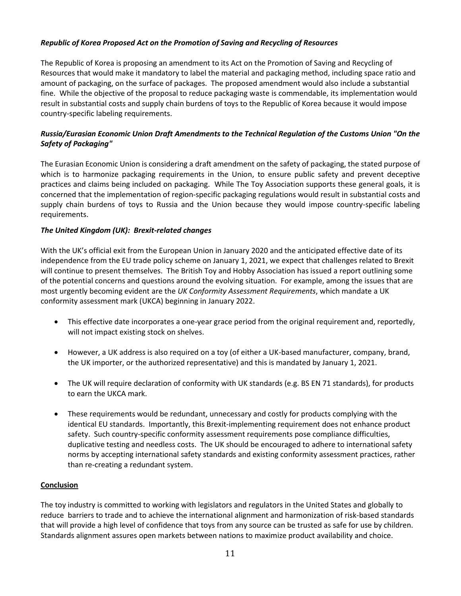# *Republic of Korea Proposed Act on the Promotion of Saving and Recycling of Resources*

The Republic of Korea is proposing an amendment to its Act on the Promotion of Saving and Recycling of Resources that would make it mandatory to label the material and packaging method, including space ratio and amount of packaging, on the surface of packages. The proposed amendment would also include a substantial fine. While the objective of the proposal to reduce packaging waste is commendable, its implementation would result in substantial costs and supply chain burdens of toys to the Republic of Korea because it would impose country-specific labeling requirements.

# *Russia/Eurasian Economic Union Draft Amendments to the Technical Regulation of the Customs Union "On the Safety of Packaging"*

The Eurasian Economic Union is considering a draft amendment on the safety of packaging, the stated purpose of which is to harmonize packaging requirements in the Union, to ensure public safety and prevent deceptive practices and claims being included on packaging. While The Toy Association supports these general goals, it is concerned that the implementation of region-specific packaging regulations would result in substantial costs and supply chain burdens of toys to Russia and the Union because they would impose country-specific labeling requirements.

### *The United Kingdom (UK): Brexit-related changes*

With the UK's official exit from the European Union in January 2020 and the anticipated effective date of its independence from the EU trade policy scheme on January 1, 2021, we expect that challenges related to Brexit will continue to present themselves. The British Toy and Hobby Association has issued a report outlining some of the potential concerns and questions around the evolving situation. For example, among the issues that are most urgently becoming evident are the *UK Conformity Assessment Requirements*, which mandate a UK conformity assessment mark (UKCA) beginning in January 2022.

- This effective date incorporates a one-year grace period from the original requirement and, reportedly, will not impact existing stock on shelves.
- However, a UK address is also required on a toy (of either a UK-based manufacturer, company, brand, the UK importer, or the authorized representative) and this is mandated by January 1, 2021.
- The UK will require declaration of conformity with UK standards (e.g. BS EN 71 standards), for products to earn the UKCA mark.
- These requirements would be redundant, unnecessary and costly for products complying with the identical EU standards. Importantly, this Brexit-implementing requirement does not enhance product safety. Such country-specific conformity assessment requirements pose compliance difficulties, duplicative testing and needless costs. The UK should be encouraged to adhere to international safety norms by accepting international safety standards and existing conformity assessment practices, rather than re-creating a redundant system.

### **Conclusion**

The toy industry is committed to working with legislators and regulators in the United States and globally to reduce barriers to trade and to achieve the international alignment and harmonization of risk-based standards that will provide a high level of confidence that toys from any source can be trusted as safe for use by children. Standards alignment assures open markets between nations to maximize product availability and choice.